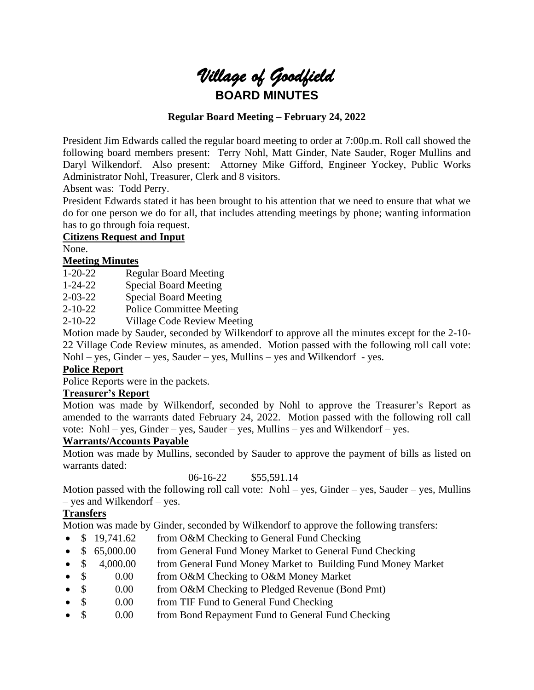

## **Regular Board Meeting – February 24, 2022**

President Jim Edwards called the regular board meeting to order at 7:00p.m. Roll call showed the following board members present: Terry Nohl, Matt Ginder, Nate Sauder, Roger Mullins and Daryl Wilkendorf. Also present: Attorney Mike Gifford, Engineer Yockey, Public Works Administrator Nohl, Treasurer, Clerk and 8 visitors.

Absent was: Todd Perry.

President Edwards stated it has been brought to his attention that we need to ensure that what we do for one person we do for all, that includes attending meetings by phone; wanting information has to go through foia request.

## **Citizens Request and Input**

None.

## **Meeting Minutes**

1-20-22 Regular Board Meeting

1-24-22 Special Board Meeting

2-03-22 Special Board Meeting

2-10-22 Police Committee Meeting

2-10-22 Village Code Review Meeting

Motion made by Sauder, seconded by Wilkendorf to approve all the minutes except for the 2-10- 22 Village Code Review minutes, as amended. Motion passed with the following roll call vote: Nohl – yes, Ginder – yes, Sauder – yes, Mullins – yes and Wilkendorf - yes.

## **Police Report**

Police Reports were in the packets.

## **Treasurer's Report**

Motion was made by Wilkendorf, seconded by Nohl to approve the Treasurer's Report as amended to the warrants dated February 24, 2022. Motion passed with the following roll call vote: Nohl – yes, Ginder – yes, Sauder – yes, Mullins – yes and Wilkendorf – yes.

# **Warrants/Accounts Payable**

Motion was made by Mullins, seconded by Sauder to approve the payment of bills as listed on warrants dated:

06-16-22 \$55,591.14

Motion passed with the following roll call vote: Nohl – yes, Ginder – yes, Sauder – yes, Mullins – yes and Wilkendorf – yes.

# **Transfers**

Motion was made by Ginder, seconded by Wilkendorf to approve the following transfers:

- \$ 19,741.62 from O&M Checking to General Fund Checking
- \$ 65,000.00 from General Fund Money Market to General Fund Checking
- \$ 4,000.00 from General Fund Money Market to Building Fund Money Market
- \$ 0.00 from O&M Checking to O&M Money Market
- \$ 0.00 from O&M Checking to Pledged Revenue (Bond Pmt)
- \$ 0.00 from TIF Fund to General Fund Checking
- \$ 0.00 from Bond Repayment Fund to General Fund Checking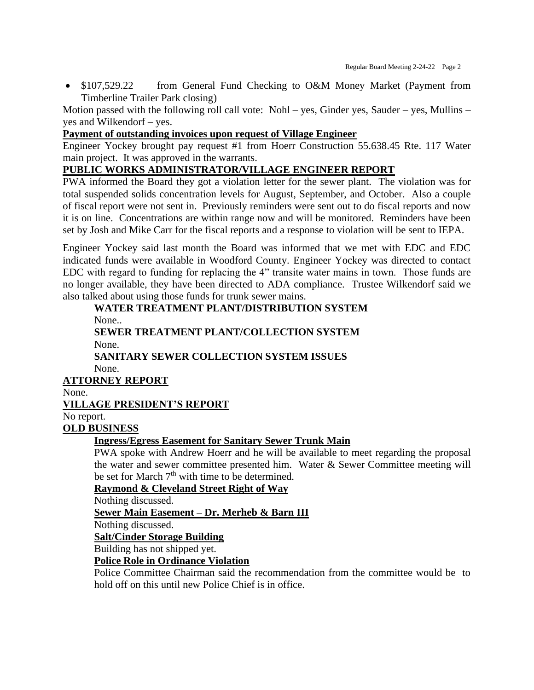• \$107,529.22 from General Fund Checking to O&M Money Market (Payment from Timberline Trailer Park closing)

Motion passed with the following roll call vote: Nohl – yes, Ginder yes, Sauder – yes, Mullins – yes and Wilkendorf – yes.

# **Payment of outstanding invoices upon request of Village Engineer**

Engineer Yockey brought pay request #1 from Hoerr Construction 55.638.45 Rte. 117 Water main project. It was approved in the warrants.

# **PUBLIC WORKS ADMINISTRATOR/VILLAGE ENGINEER REPORT**

PWA informed the Board they got a violation letter for the sewer plant. The violation was for total suspended solids concentration levels for August, September, and October. Also a couple of fiscal report were not sent in. Previously reminders were sent out to do fiscal reports and now it is on line. Concentrations are within range now and will be monitored. Reminders have been set by Josh and Mike Carr for the fiscal reports and a response to violation will be sent to IEPA.

Engineer Yockey said last month the Board was informed that we met with EDC and EDC indicated funds were available in Woodford County. Engineer Yockey was directed to contact EDC with regard to funding for replacing the 4" transite water mains in town. Those funds are no longer available, they have been directed to ADA compliance. Trustee Wilkendorf said we also talked about using those funds for trunk sewer mains.

# **WATER TREATMENT PLANT/DISTRIBUTION SYSTEM**

None..

# **SEWER TREATMENT PLANT/COLLECTION SYSTEM** None.

#### **SANITARY SEWER COLLECTION SYSTEM ISSUES** None.

**ATTORNEY REPORT**

None.

# **VILLAGE PRESIDENT'S REPORT**

No report.

# **OLD BUSINESS**

## **Ingress/Egress Easement for Sanitary Sewer Trunk Main**

PWA spoke with Andrew Hoerr and he will be available to meet regarding the proposal the water and sewer committee presented him. Water & Sewer Committee meeting will be set for March  $7<sup>th</sup>$  with time to be determined.

## **Raymond & Cleveland Street Right of Way**

Nothing discussed.

# **Sewer Main Easement – Dr. Merheb & Barn III**

Nothing discussed.

## **Salt/Cinder Storage Building**

Building has not shipped yet.

## **Police Role in Ordinance Violation**

Police Committee Chairman said the recommendation from the committee would be to hold off on this until new Police Chief is in office.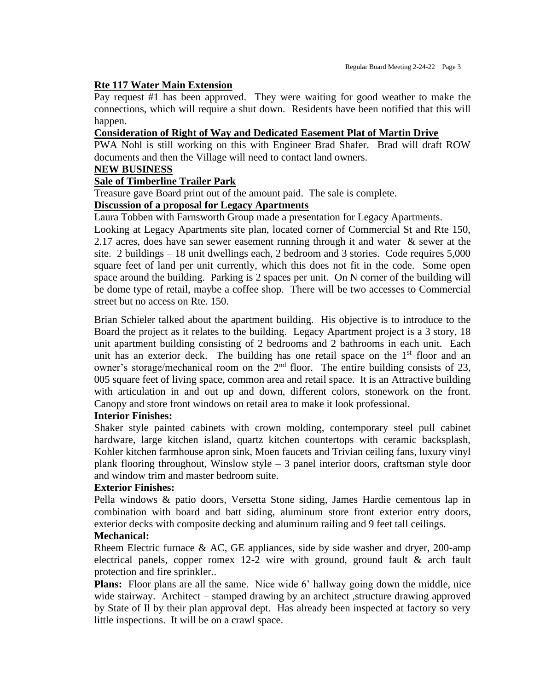#### **Rte 117 Water Main Extension**

Pay request #1 has been approved. They were waiting for good weather to make the connections, which will require a shut down. Residents have been notified that this will happen.

## **Consideration of Right of Way and Dedicated Easement Plat of Martin Drive**

PWA Nohl is still working on this with Engineer Brad Shafer. Brad will draft ROW documents and then the Village will need to contact land owners.

#### **NEW BUSINESS**

#### **Sale of Timberline Trailer Park**

Treasure gave Board print out of the amount paid. The sale is complete.

#### **Discussion of a proposal for Legacy Apartments**

Laura Tobben with Farnsworth Group made a presentation for Legacy Apartments.

Looking at Legacy Apartments site plan, located corner of Commercial St and Rte 150, 2.17 acres, does have san sewer easement running through it and water & sewer at the site. 2 buildings – 18 unit dwellings each, 2 bedroom and 3 stories. Code requires 5,000 square feet of land per unit currently, which this does not fit in the code. Some open space around the building. Parking is 2 spaces per unit. On N corner of the building will be dome type of retail, maybe a coffee shop. There will be two accesses to Commercial street but no access on Rte. 150.

Brian Schieler talked about the apartment building. His objective is to introduce to the Board the project as it relates to the building. Legacy Apartment project is a 3 story, 18 unit apartment building consisting of 2 bedrooms and 2 bathrooms in each unit. Each unit has an exterior deck. The building has one retail space on the  $1<sup>st</sup>$  floor and an owner's storage/mechanical room on the 2<sup>nd</sup> floor. The entire building consists of 23, 005 square feet of living space, common area and retail space. It is an Attractive building with articulation in and out up and down, different colors, stonework on the front. Canopy and store front windows on retail area to make it look professional.

#### **Interior Finishes:**

Shaker style painted cabinets with crown molding, contemporary steel pull cabinet hardware, large kitchen island, quartz kitchen countertops with ceramic backsplash, Kohler kitchen farmhouse apron sink, Moen faucets and Trivian ceiling fans, luxury vinyl plank flooring throughout, Winslow style – 3 panel interior doors, craftsman style door and window trim and master bedroom suite.

#### **Exterior Finishes:**

Pella windows & patio doors, Versetta Stone siding, James Hardie cementous lap in combination with board and batt siding, aluminum store front exterior entry doors, exterior decks with composite decking and aluminum railing and 9 feet tall ceilings.

#### **Mechanical:**

Rheem Electric furnace  $\& AC$ , GE appliances, side by side washer and dryer, 200-amp electrical panels, copper romex 12-2 wire with ground, ground fault & arch fault protection and fire sprinkler..

**Plans:** Floor plans are all the same. Nice wide 6' hallway going down the middle, nice wide stairway. Architect – stamped drawing by an architect , structure drawing approved by State of Il by their plan approval dept. Has already been inspected at factory so very little inspections. It will be on a crawl space.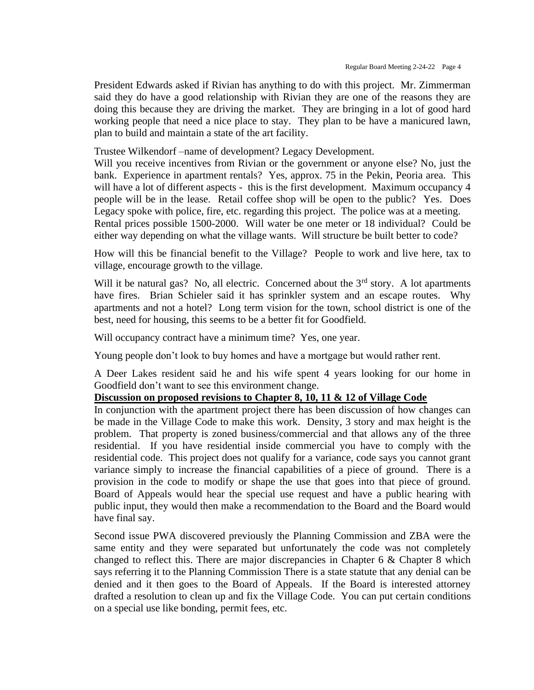President Edwards asked if Rivian has anything to do with this project. Mr. Zimmerman said they do have a good relationship with Rivian they are one of the reasons they are doing this because they are driving the market. They are bringing in a lot of good hard working people that need a nice place to stay. They plan to be have a manicured lawn, plan to build and maintain a state of the art facility.

Trustee Wilkendorf –name of development? Legacy Development.

Will you receive incentives from Rivian or the government or anyone else? No, just the bank. Experience in apartment rentals? Yes, approx. 75 in the Pekin, Peoria area. This will have a lot of different aspects - this is the first development. Maximum occupancy 4 people will be in the lease. Retail coffee shop will be open to the public? Yes. Does Legacy spoke with police, fire, etc. regarding this project. The police was at a meeting. Rental prices possible 1500-2000. Will water be one meter or 18 individual? Could be either way depending on what the village wants. Will structure be built better to code?

How will this be financial benefit to the Village? People to work and live here, tax to village, encourage growth to the village.

Will it be natural gas? No, all electric. Concerned about the  $3<sup>rd</sup>$  story. A lot apartments have fires. Brian Schieler said it has sprinkler system and an escape routes. Why apartments and not a hotel? Long term vision for the town, school district is one of the best, need for housing, this seems to be a better fit for Goodfield.

Will occupancy contract have a minimum time? Yes, one year.

Young people don't look to buy homes and have a mortgage but would rather rent.

A Deer Lakes resident said he and his wife spent 4 years looking for our home in Goodfield don't want to see this environment change.

## **Discussion on proposed revisions to Chapter 8, 10, 11 & 12 of Village Code**

In conjunction with the apartment project there has been discussion of how changes can be made in the Village Code to make this work. Density, 3 story and max height is the problem. That property is zoned business/commercial and that allows any of the three residential. If you have residential inside commercial you have to comply with the residential code. This project does not qualify for a variance, code says you cannot grant variance simply to increase the financial capabilities of a piece of ground. There is a provision in the code to modify or shape the use that goes into that piece of ground. Board of Appeals would hear the special use request and have a public hearing with public input, they would then make a recommendation to the Board and the Board would have final say.

Second issue PWA discovered previously the Planning Commission and ZBA were the same entity and they were separated but unfortunately the code was not completely changed to reflect this. There are major discrepancies in Chapter 6 & Chapter 8 which says referring it to the Planning Commission There is a state statute that any denial can be denied and it then goes to the Board of Appeals. If the Board is interested attorney drafted a resolution to clean up and fix the Village Code. You can put certain conditions on a special use like bonding, permit fees, etc.